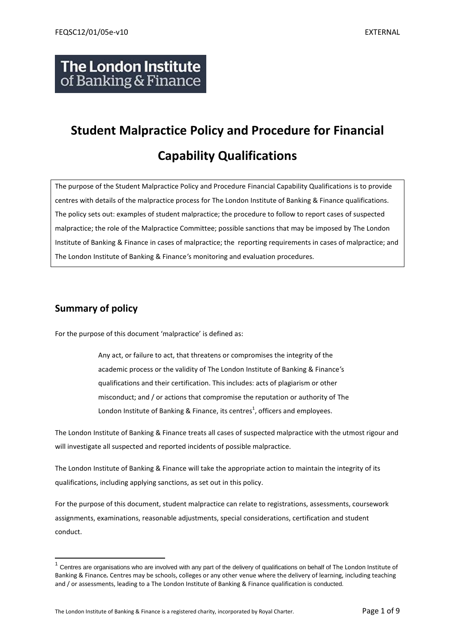## **The London Institute** of Banking & Finance

# **Student Malpractice Policy and Procedure for Financial Capability Qualifications**

The purpose of the Student Malpractice Policy and Procedure Financial Capability Qualifications is to provide centres with details of the malpractice process for The London Institute of Banking & Finance qualifications. The policy sets out: examples of student malpractice; the procedure to follow to report cases of suspected malpractice; the role of the Malpractice Committee; possible sanctions that may be imposed by The London Institute of Banking & Finance in cases of malpractice; the reporting requirements in cases of malpractice; and The London Institute of Banking & Finance*'*s monitoring and evaluation procedures.

## **Summary of policy**

 $\overline{a}$ 

For the purpose of this document 'malpractice' is defined as:

Any act, or failure to act, that threatens or compromises the integrity of the academic process or the validity of The London Institute of Banking & Finance*'*s qualifications and their certification. This includes: acts of plagiarism or other misconduct; and / or actions that compromise the reputation or authority of The London Institute of Banking & Finance, its centres<sup>1</sup>, officers and employees.

The London Institute of Banking & Finance treats all cases of suspected malpractice with the utmost rigour and will investigate all suspected and reported incidents of possible malpractice.

The London Institute of Banking & Finance will take the appropriate action to maintain the integrity of its qualifications, including applying sanctions, as set out in this policy.

For the purpose of this document, student malpractice can relate to registrations, assessments, coursework assignments, examinations, reasonable adjustments, special considerations, certification and student conduct.

 $1$  Centres are organisations who are involved with any part of the delivery of qualifications on behalf of The London Institute of Banking & Finance*.* Centres may be schools, colleges or any other venue where the delivery of learning, including teaching and / or assessments, leading to a The London Institute of Banking & Finance qualification is conducted.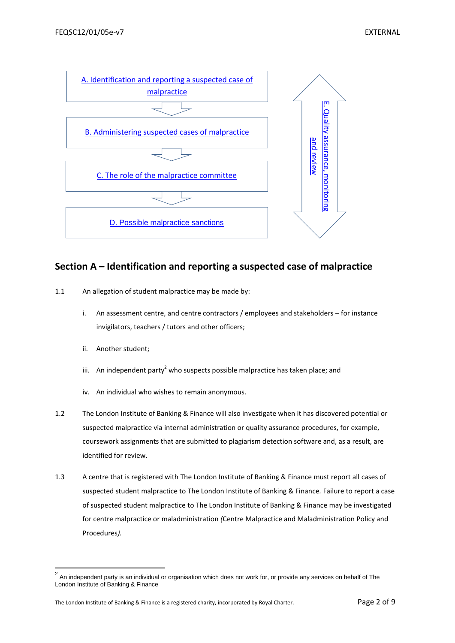

## <span id="page-1-0"></span>**Section A – Identification and reporting a suspected case of malpractice**

- 1.1 An allegation of student malpractice may be made by:
	- i. An assessment centre, and centre contractors / employees and stakeholders for instance invigilators, teachers / tutors and other officers;
	- ii. Another student;
	- iii. An independent party<sup>2</sup> who suspects possible malpractice has taken place; and
	- iv. An individual who wishes to remain anonymous.
- 1.2 The London Institute of Banking & Finance will also investigate when it has discovered potential or suspected malpractice via internal administration or quality assurance procedures, for example, coursework assignments that are submitted to plagiarism detection software and, as a result, are identified for review.
- 1.3 A centre that is registered with The London Institute of Banking & Finance must report all cases of suspected student malpractice to The London Institute of Banking & Finance*.* Failure to report a case of suspected student malpractice to The London Institute of Banking & Finance may be investigated for centre malpractice or maladministration *(*Centre Malpractice and Maladministration Policy and Procedures*).*

 2 An independent party is an individual or organisation which does not work for, or provide any services on behalf of The London Institute of Banking & Finance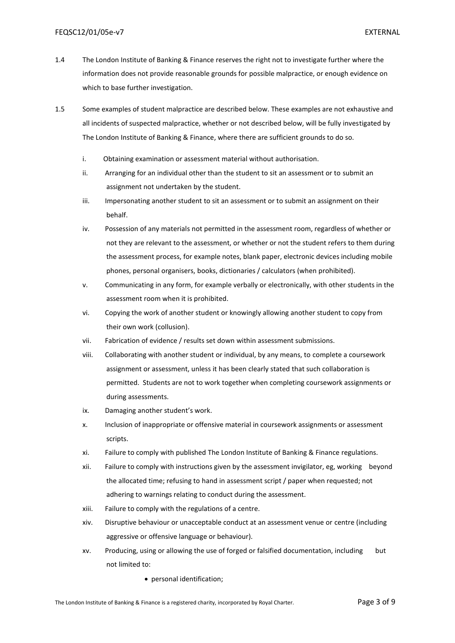- 1.4 The London Institute of Banking & Finance reserves the right not to investigate further where the information does not provide reasonable grounds for possible malpractice, or enough evidence on which to base further investigation.
- 1.5 Some examples of student malpractice are described below. These examples are not exhaustive and all incidents of suspected malpractice, whether or not described below, will be fully investigated by The London Institute of Banking & Finance, where there are sufficient grounds to do so.
	- i. Obtaining examination or assessment material without authorisation.
	- ii. Arranging for an individual other than the student to sit an assessment or to submit an assignment not undertaken by the student.
	- iii. Impersonating another student to sit an assessment or to submit an assignment on their behalf.
	- iv. Possession of any materials not permitted in the assessment room, regardless of whether or not they are relevant to the assessment, or whether or not the student refers to them during the assessment process, for example notes, blank paper, electronic devices including mobile phones, personal organisers, books, dictionaries / calculators (when prohibited).
	- v. Communicating in any form, for example verbally or electronically, with other students in the assessment room when it is prohibited.
	- vi. Copying the work of another student or knowingly allowing another student to copy from their own work (collusion).
	- vii. Fabrication of evidence / results set down within assessment submissions.
	- viii. Collaborating with another student or individual, by any means, to complete a coursework assignment or assessment, unless it has been clearly stated that such collaboration is permitted. Students are not to work together when completing coursework assignments or during assessments.
	- ix. Damaging another student's work.
	- x. Inclusion of inappropriate or offensive material in coursework assignments or assessment scripts.
	- xi. Failure to comply with published The London Institute of Banking & Finance regulations.
	- xii. Failure to comply with instructions given by the assessment invigilator, eg, working beyond the allocated time; refusing to hand in assessment script / paper when requested; not adhering to warnings relating to conduct during the assessment.
	- xiii. Failure to comply with the regulations of a centre.
	- xiv. Disruptive behaviour or unacceptable conduct at an assessment venue or centre (including aggressive or offensive language or behaviour).
	- xv. Producing, using or allowing the use of forged or falsified documentation, including but not limited to:
		- personal identification;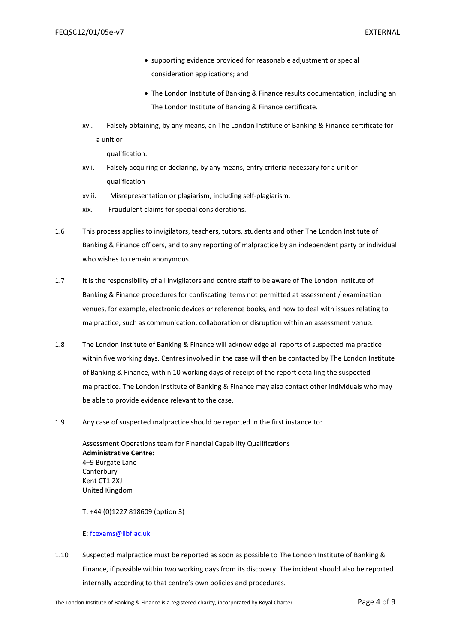- supporting evidence provided for reasonable adjustment or special consideration applications; and
- The London Institute of Banking & Finance results documentation, including an The London Institute of Banking & Finance certificate.
- xvi. Falsely obtaining, by any means, an The London Institute of Banking & Finance certificate for a unit or

qualification.

- xvii. Falsely acquiring or declaring, by any means, entry criteria necessary for a unit or qualification
- xviii. Misrepresentation or plagiarism, including self-plagiarism.
- xix. Fraudulent claims for special considerations.
- 1.6 This process applies to invigilators, teachers, tutors, students and other The London Institute of Banking & Finance officers, and to any reporting of malpractice by an independent party or individual who wishes to remain anonymous.
- 1.7 It is the responsibility of all invigilators and centre staff to be aware of The London Institute of Banking & Finance procedures for confiscating items not permitted at assessment / examination venues, for example, electronic devices or reference books, and how to deal with issues relating to malpractice, such as communication, collaboration or disruption within an assessment venue.
- 1.8 The London Institute of Banking & Finance will acknowledge all reports of suspected malpractice within five working days. Centres involved in the case will then be contacted by The London Institute of Banking & Finance, within 10 working days of receipt of the report detailing the suspected malpractice. The London Institute of Banking & Finance may also contact other individuals who may be able to provide evidence relevant to the case.
- 1.9 Any case of suspected malpractice should be reported in the first instance to:

Assessment Operations team for Financial Capability Qualifications **Administrative Centre:** 4–9 Burgate Lane **Canterbury** Kent CT1 2XJ United Kingdom

T: +44 (0)1227 818609 (option 3)

#### E: [fcexams@libf.ac.uk](mailto:fcexams@libf.ac.uk)

1.10 Suspected malpractice must be reported as soon as possible to The London Institute of Banking & Finance, if possible within two working days from its discovery. The incident should also be reported internally according to that centre's own policies and procedures.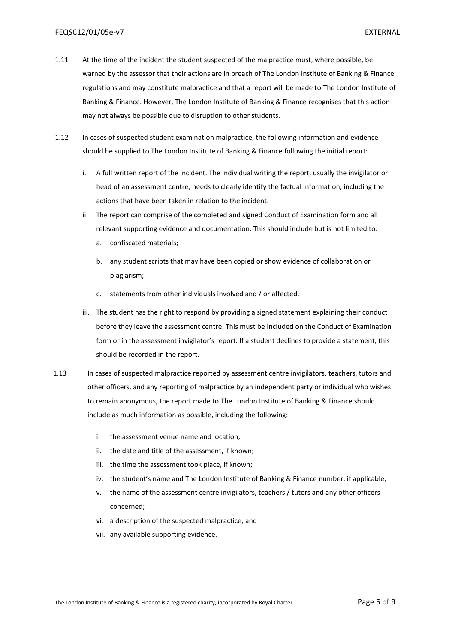- 1.11 At the time of the incident the student suspected of the malpractice must, where possible, be warned by the assessor that their actions are in breach of The London Institute of Banking & Finance regulations and may constitute malpractice and that a report will be made to The London Institute of Banking & Finance. However, The London Institute of Banking & Finance recognises that this action may not always be possible due to disruption to other students.
- 1.12 In cases of suspected student examination malpractice, the following information and evidence should be supplied to The London Institute of Banking & Finance following the initial report:
	- i. A full written report of the incident. The individual writing the report, usually the invigilator or head of an assessment centre, needs to clearly identify the factual information, including the actions that have been taken in relation to the incident.
	- ii. The report can comprise of the completed and signed Conduct of Examination form and all relevant supporting evidence and documentation. This should include but is not limited to:
		- a. confiscated materials;
		- b. any student scripts that may have been copied or show evidence of collaboration or plagiarism;
		- c. statements from other individuals involved and / or affected.
	- iii. The student has the right to respond by providing a signed statement explaining their conduct before they leave the assessment centre. This must be included on the Conduct of Examination form or in the assessment invigilator's report. If a student declines to provide a statement, this should be recorded in the report.
- 1.13 In cases of suspected malpractice reported by assessment centre invigilators, teachers, tutors and other officers, and any reporting of malpractice by an independent party or individual who wishes to remain anonymous, the report made to The London Institute of Banking & Finance should include as much information as possible, including the following:
	- i. the assessment venue name and location;
	- ii. the date and title of the assessment, if known;
	- iii. the time the assessment took place, if known;
	- iv. the student's name and The London Institute of Banking & Finance number, if applicable;
	- v. the name of the assessment centre invigilators, teachers / tutors and any other officers concerned;
	- vi. a description of the suspected malpractice; and
	- vii. any available supporting evidence.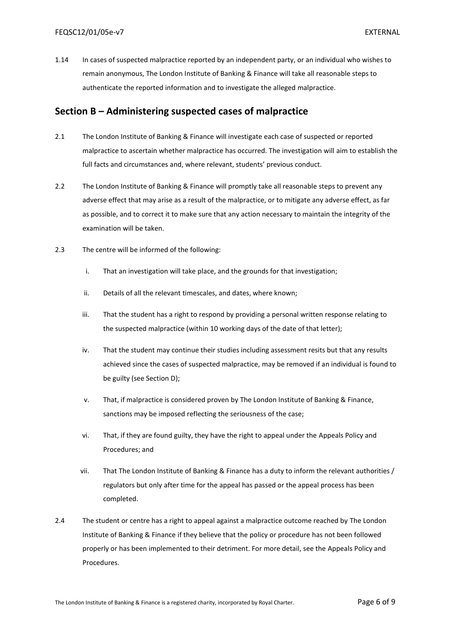1.14 In cases of suspected malpractice reported by an independent party, or an individual who wishes to remain anonymous, The London Institute of Banking & Finance will take all reasonable steps to authenticate the reported information and to investigate the alleged malpractice.

### <span id="page-5-0"></span>**Section B – Administering suspected cases of malpractice**

- 2.1 The London Institute of Banking & Finance will investigate each case of suspected or reported malpractice to ascertain whether malpractice has occurred. The investigation will aim to establish the full facts and circumstances and, where relevant, students' previous conduct.
- 2.2 The London Institute of Banking & Finance will promptly take all reasonable steps to prevent any adverse effect that may arise as a result of the malpractice, or to mitigate any adverse effect, as far as possible, and to correct it to make sure that any action necessary to maintain the integrity of the examination will be taken.
- 2.3 The centre will be informed of the following:
	- i. That an investigation will take place, and the grounds for that investigation;
	- ii. Details of all the relevant timescales, and dates, where known;
	- iii. That the student has a right to respond by providing a personal written response relating to the suspected malpractice (within 10 working days of the date of that letter);
	- iv. That the student may continue their studies including assessment resits but that any results achieved since the cases of suspected malpractice, may be removed if an individual is found to be guilty (see Section D);
	- v. That, if malpractice is considered proven by The London Institute of Banking & Finance, sanctions may be imposed reflecting the seriousness of the case;
	- vi. That, if they are found guilty, they have the right to appeal under the Appeals Policy and Procedures; and
	- vii. That The London Institute of Banking & Finance has a duty to inform the relevant authorities / regulators but only after time for the appeal has passed or the appeal process has been completed.
- 2.4 The student or centre has a right to appeal against a malpractice outcome reached by The London Institute of Banking & Finance if they believe that the policy or procedure has not been followed properly or has been implemented to their detriment. For more detail, see the Appeals Policy and Procedures.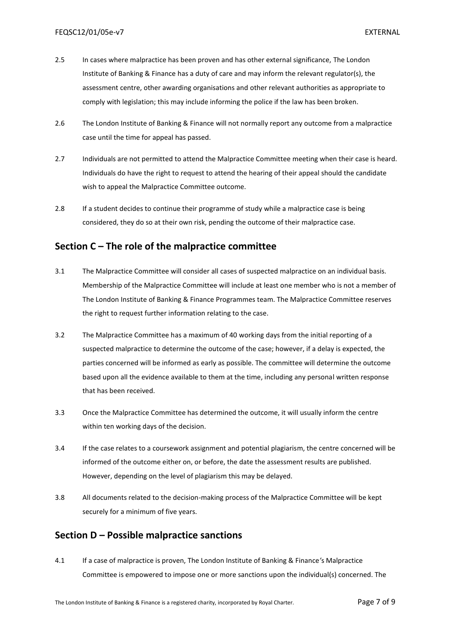- 2.5 In cases where malpractice has been proven and has other external significance, The London Institute of Banking & Finance has a duty of care and may inform the relevant regulator(s), the assessment centre, other awarding organisations and other relevant authorities as appropriate to comply with legislation; this may include informing the police if the law has been broken.
- 2.6 The London Institute of Banking & Finance will not normally report any outcome from a malpractice case until the time for appeal has passed.
- 2.7 Individuals are not permitted to attend the Malpractice Committee meeting when their case is heard. Individuals do have the right to request to attend the hearing of their appeal should the candidate wish to appeal the Malpractice Committee outcome.
- 2.8 If a student decides to continue their programme of study while a malpractice case is being considered, they do so at their own risk, pending the outcome of their malpractice case.

## <span id="page-6-0"></span>**Section C – The role of the malpractice committee**

- 3.1 The Malpractice Committee will consider all cases of suspected malpractice on an individual basis. Membership of the Malpractice Committee will include at least one member who is not a member of The London Institute of Banking & Finance Programmes team. The Malpractice Committee reserves the right to request further information relating to the case.
- 3.2 The Malpractice Committee has a maximum of 40 working days from the initial reporting of a suspected malpractice to determine the outcome of the case; however, if a delay is expected, the parties concerned will be informed as early as possible. The committee will determine the outcome based upon all the evidence available to them at the time, including any personal written response that has been received.
- 3.3 Once the Malpractice Committee has determined the outcome, it will usually inform the centre within ten working days of the decision.
- 3.4 If the case relates to a coursework assignment and potential plagiarism, the centre concerned will be informed of the outcome either on, or before, the date the assessment results are published. However, depending on the level of plagiarism this may be delayed.
- 3.8 All documents related to the decision-making process of the Malpractice Committee will be kept securely for a minimum of five years.

## <span id="page-6-1"></span>**Section D – Possible malpractice sanctions**

4.1 If a case of malpractice is proven, The London Institute of Banking & Finance*'*s Malpractice Committee is empowered to impose one or more sanctions upon the individual(s) concerned. The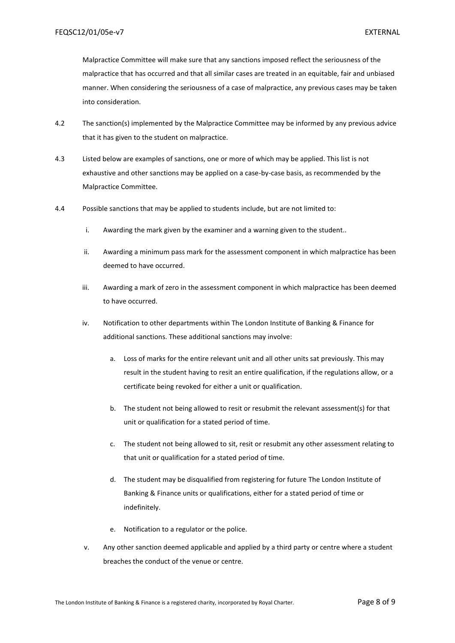Malpractice Committee will make sure that any sanctions imposed reflect the seriousness of the malpractice that has occurred and that all similar cases are treated in an equitable, fair and unbiased manner. When considering the seriousness of a case of malpractice, any previous cases may be taken into consideration.

- 4.2 The sanction(s) implemented by the Malpractice Committee may be informed by any previous advice that it has given to the student on malpractice.
- 4.3 Listed below are examples of sanctions, one or more of which may be applied. This list is not exhaustive and other sanctions may be applied on a case-by-case basis, as recommended by the Malpractice Committee.
- 4.4 Possible sanctions that may be applied to students include, but are not limited to:
	- i. Awarding the mark given by the examiner and a warning given to the student..
	- ii. Awarding a minimum pass mark for the assessment component in which malpractice has been deemed to have occurred.
	- iii. Awarding a mark of zero in the assessment component in which malpractice has been deemed to have occurred.
	- iv. Notification to other departments within The London Institute of Banking & Finance for additional sanctions. These additional sanctions may involve:
		- a. Loss of marks for the entire relevant unit and all other units sat previously. This may result in the student having to resit an entire qualification, if the regulations allow, or a certificate being revoked for either a unit or qualification.
		- b. The student not being allowed to resit or resubmit the relevant assessment(s) for that unit or qualification for a stated period of time.
		- c. The student not being allowed to sit, resit or resubmit any other assessment relating to that unit or qualification for a stated period of time.
		- d. The student may be disqualified from registering for future The London Institute of Banking & Finance units or qualifications, either for a stated period of time or indefinitely.
		- e. Notification to a regulator or the police.
	- v. Any other sanction deemed applicable and applied by a third party or centre where a student breaches the conduct of the venue or centre.